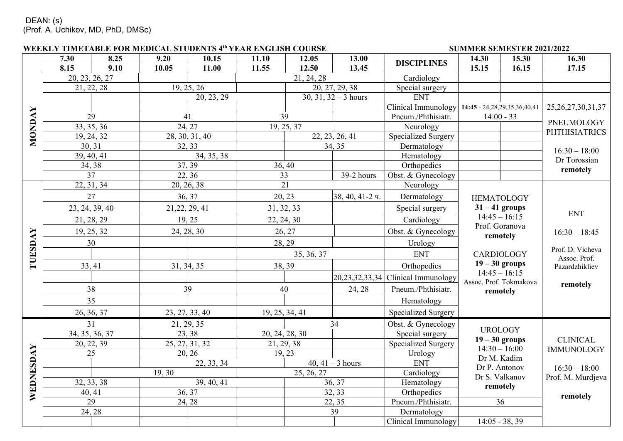|           |                 |                 | WEEKLY TIMETABLE FOR MEDICAL STUDENTS 4th YEAR ENGLISH COURSE |                              |                                   |                           |                         | SUMMER SEMESTER 2021/2022                          |                                    |                   |                        |
|-----------|-----------------|-----------------|---------------------------------------------------------------|------------------------------|-----------------------------------|---------------------------|-------------------------|----------------------------------------------------|------------------------------------|-------------------|------------------------|
|           | 7.30            | 8.25            | 9.20                                                          | 10.15                        | 11.10                             | 12.05                     | 13.00                   | <b>DISCIPLINES</b>                                 | 14.30                              | 15.30             | 16.30                  |
|           | 8.15            | 9.10            | 10.05                                                         | 11.00                        | 11.55                             | 12.50                     | 13.45                   |                                                    | 15.15                              | 16.15             | 17.15                  |
|           | 20, 23, 26, 27  |                 |                                                               |                              |                                   | 21, 24, 28                |                         | Cardiology                                         |                                    |                   |                        |
|           | 21, 22, 28      |                 | 19, 25, 26                                                    |                              | 20, 27, 29, 38                    |                           | Special surgery         |                                                    |                                    |                   |                        |
|           |                 |                 | 20, 23, 29                                                    |                              | $\overline{30, 31, 32 - 3}$ hours |                           | <b>ENT</b>              |                                                    |                                    |                   |                        |
|           |                 |                 |                                                               |                              |                                   |                           |                         | Clinical Immunology   14:45 - 24,28,29,35,36,40,41 |                                    |                   | 25, 26, 27, 30, 31, 37 |
| NONDAY    | 29              |                 | 41                                                            |                              | 39                                |                           |                         | Pneum./Phthisiatr.                                 |                                    | $14:00 - 33$      | PNEUMOLOGY             |
|           |                 | 33, 35, 36      |                                                               | 24, 27                       |                                   | 19, 25, 37                |                         | Neurology                                          |                                    |                   | <b>PHTHISIATRICS</b>   |
|           | 19, 24, 32      |                 |                                                               | 28, 30, 31, 40               |                                   |                           | 22, 23, 26, 41          | Specialized Surgery                                |                                    |                   |                        |
|           | 30, 31          |                 |                                                               | 32, 33                       |                                   |                           | 34, 35                  | Dermatology                                        |                                    |                   | $16:30 - 18:00$        |
|           | 39, 40, 41      |                 |                                                               | 34, 35, 38                   |                                   |                           |                         | Hematology                                         |                                    |                   | Dr Torossian           |
|           | 34, 38          |                 |                                                               | $\overline{37, 39}$          | 36, 40                            |                           |                         | Orthopedics                                        |                                    |                   | remotely               |
|           |                 | $\overline{37}$ |                                                               | 22, 36                       | $\overline{33}$                   |                           | $\overline{39-2}$ hours | Obst. & Gynecology                                 |                                    |                   |                        |
|           | 22, 31, 34      |                 |                                                               | 20, 26, 38                   |                                   | $\overline{21}$           |                         | Neurology                                          |                                    |                   |                        |
|           | 27              |                 | 36, 37                                                        |                              |                                   | 20, 23<br>38, 40, 41-2 ч. |                         | Dermatology                                        | <b>HEMATOLOGY</b>                  |                   |                        |
|           | 23, 24, 39, 40  |                 | 21, 22, 29, 41<br>31, 32, 33                                  |                              |                                   |                           | Special surgery         | $31 - 41$ groups                                   |                                    | <b>ENT</b>        |                        |
|           | 21, 28, 29      |                 | 19, 25<br>22, 24, 30                                          |                              |                                   |                           | Cardiology              |                                                    | $14:45 - 16:15$                    |                   |                        |
|           | 19, 25, 32      |                 | 24, 28, 30                                                    |                              | 26, 27                            |                           | Obst. & Gynecology      | Prof. Goranova<br>remotely                         |                                    | $16:30 - 18:45$   |                        |
|           | 30              |                 |                                                               |                              |                                   | 28, 29                    |                         | Urology                                            |                                    |                   |                        |
| TUESDAY   |                 |                 |                                                               |                              | 35, 36, 37                        |                           | <b>ENT</b>              | CARDIOLOGY                                         | Prof. D. Vicheva<br>Assoc. Prof.   |                   |                        |
|           | 33, 41          |                 | 31, 34, 35                                                    |                              | 38, 39                            |                           |                         | Orthopedics                                        | $19 - 30$ groups                   | Pazardzhikliev    |                        |
|           |                 |                 |                                                               |                              |                                   |                           |                         | $20,23,32,33,34$ Clinical Immunology               |                                    | $14:45 - 16:15$   |                        |
|           | 38              |                 | 39                                                            |                              | 40                                |                           | 24, 28                  | Pneum./Phthisiatr.                                 | Assoc. Prof. Tokmakova<br>remotely |                   | remotely               |
|           | 35              |                 |                                                               |                              |                                   |                           |                         | Hematology                                         |                                    |                   |                        |
|           |                 | 26, 36, 37      |                                                               | 23, 27, 33, 40               | 19, 25, 34, 41                    |                           |                         | <b>Specialized Surgery</b>                         |                                    |                   |                        |
|           | 31              |                 |                                                               | 21, 29, 35                   |                                   |                           | 34                      | Obst. & Gynecology                                 |                                    |                   |                        |
| WEDNESDAY | 34, 35, 36, 37  |                 |                                                               | 23, 38                       | 20, 24, 28, 30                    |                           |                         | Special surgery                                    | <b>UROLOGY</b>                     |                   |                        |
|           | 20, 22, 39      |                 |                                                               | 25, 27, 31, 32<br>21, 29, 38 |                                   |                           |                         | <b>Specialized Surgery</b>                         | $19 - 30$ groups                   | $14:30 - 16:00$   | <b>CLINICAL</b>        |
|           |                 | 25              | 20, 26                                                        |                              | 19, 23                            |                           | Urology                 |                                                    | Dr M. Kadim                        | <b>IMMUNOLOGY</b> |                        |
|           | 22, 33, 34      |                 | 40, 41 – 3 hours                                              |                              | <b>ENT</b>                        |                           | Dr P. Antonov           | $16:30 - 18:00$                                    |                                    |                   |                        |
|           | 19,30           |                 |                                                               | 25, 26, 27                   |                                   |                           | Cardiology              | Dr S. Valkanov                                     |                                    | Prof. M. Murdjeva |                        |
|           | 32, 33, 38      |                 | 39, 40, 41                                                    |                              | 36, 37                            |                           |                         | Hematology                                         |                                    | remotely          |                        |
|           | 40, 41          |                 | 36, 37                                                        |                              |                                   |                           | 32, 33                  | Orthopedics                                        |                                    |                   | remotely               |
|           | $\overline{29}$ |                 | 24, 28                                                        |                              |                                   | 22, 35                    |                         | Pneum./Phthisiatr.                                 |                                    | 36                |                        |
|           |                 | 24, 28          |                                                               |                              |                                   |                           | 39                      | Dermatology                                        |                                    |                   |                        |
|           |                 |                 |                                                               |                              |                                   |                           |                         | Clinical Immunology                                |                                    | $14:05 - 38,39$   |                        |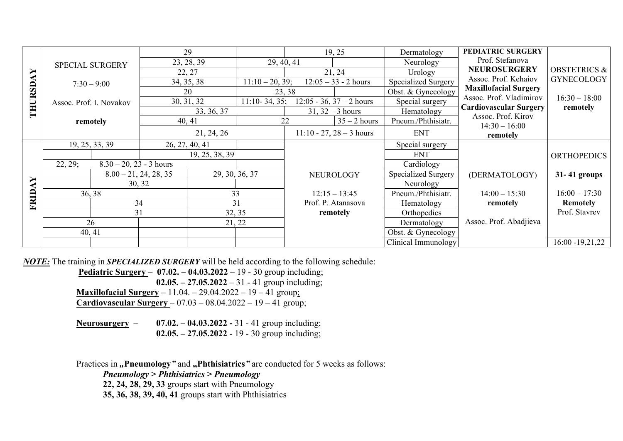|                                               |                                       |                         | 29             |                    |                    | 19, 25                     | Dermatology                   | PEDIATRIC SURGERY                                       |                         |
|-----------------------------------------------|---------------------------------------|-------------------------|----------------|--------------------|--------------------|----------------------------|-------------------------------|---------------------------------------------------------|-------------------------|
|                                               | <b>SPECIAL SURGERY</b>                |                         | 23, 28, 39     | 29, 40, 41         |                    |                            | Neurology                     | Prof. Stefanova                                         |                         |
| $\blacktriangleright$                         |                                       |                         | 22, 27         |                    |                    | 21, 24                     | Urology                       | <b>NEUROSURGERY</b>                                     | <b>OBSTETRICS &amp;</b> |
|                                               | $7:30 - 9:00$                         |                         | 34, 35, 38     | $11:10 - 20, 39;$  |                    | $12:05 - 33 - 2$ hours     | <b>Specialized Surgery</b>    | Assoc. Prof. Kehaiov                                    | <b>GYNECOLOGY</b>       |
|                                               |                                       | 20                      |                |                    | 23, 38             |                            | Obst. & Gynecology            | <b>Maxillofacial Surgery</b><br>Assoc. Prof. Vladimirov |                         |
|                                               | Assoc. Prof. I. Novakov               | 30, 31, 32              |                | $11:10-34,35;$     |                    | $12:05 - 36, 37 - 2$ hours | Special surgery               |                                                         | $16:30 - 18:00$         |
| THURSD                                        |                                       | 33, 36, 37              |                | $31, 32 - 3$ hours |                    | Hematology                 | <b>Cardiovascular Surgery</b> | remotely                                                |                         |
|                                               | remotely                              | 40, 41                  |                |                    | 22                 | $35 - 2$ hours             | Pneum./Phthisiatr.            | Assoc. Prof. Kirov<br>$14:30 - 16:00$                   |                         |
|                                               |                                       |                         | 21, 24, 26     |                    |                    | $11:10 - 27, 28 - 3$ hours | <b>ENT</b>                    | remotely                                                |                         |
|                                               | 19, 25, 33, 39                        | 26, 27, 40, 41          |                |                    |                    |                            | Special surgery               |                                                         |                         |
|                                               |                                       |                         | 19, 25, 38, 39 |                    |                    |                            | <b>ENT</b>                    |                                                         | <b>ORTHOPEDICS</b>      |
|                                               | 22, 29;<br>$8.30 - 20$ , 23 - 3 hours |                         |                |                    |                    |                            | Cardiology                    |                                                         |                         |
|                                               |                                       | $8.00 - 21, 24, 28, 35$ | 29, 30, 36, 37 |                    |                    | <b>NEUROLOGY</b>           | Specialized Surgery           | (DERMATOLOGY)                                           | 31-41 groups            |
| $\blacktriangleright$<br>$\blacktriangleleft$ |                                       | 30, 32                  |                |                    |                    |                            | Neurology                     |                                                         |                         |
| FRID.                                         | 36, 38                                |                         | 33             |                    |                    | $12:15 - 13:45$            | Pneum./Phthisiatr.            | $14:00 - 15:30$                                         | $16:00 - 17:30$         |
|                                               | 34                                    |                         | 31             |                    | Prof. P. Atanasova |                            | Hematology                    | remotely                                                | <b>Remotely</b>         |
|                                               | 31                                    |                         | 32, 35         |                    |                    | remotely                   | Orthopedics                   |                                                         | Prof. Stavrev           |
|                                               | 26                                    |                         | 21, 22         |                    |                    |                            | Dermatology                   | Assoc. Prof. Abadjieva                                  |                         |
|                                               | 40, 41                                |                         |                |                    |                    |                            | Obst. & Gynecology            |                                                         |                         |
|                                               |                                       |                         |                |                    |                    |                            | Clinical Immunology           |                                                         | $16:00 - 19,21,22$      |

*NOTE:* The training in *SPECIALIZED SURGERY* will be held according to the following schedule:

**Pediatric Surgery** – **07.02. – 04.03.2022** – 19 - 30 group including; **02.05. – 27.05.2022** – 31 - 41 group including; **Maxillofacial Surgery** – 11.04. – 29.04.2022 – 19 – 41 group;  **Cardiovascular Surgery** – 07.03 – 08.04.2022 – 19 – 41 group;

**Neurosurgery** – **07.02. – 04.03.2022 -** 31 - 41 group including; **02.05. – 27.05.2022 -** 19 - 30 group including;

Practices in "Pneumology" and "Phthisiatrics" are conducted for 5 weeks as follows:

*Pneumology > Phthisiatrics > Pneumology* 

**22, 24, 28, 29, 33** groups start with Pneumology

**35, 36, 38, 39, 40, 41** groups start with Phthisiatrics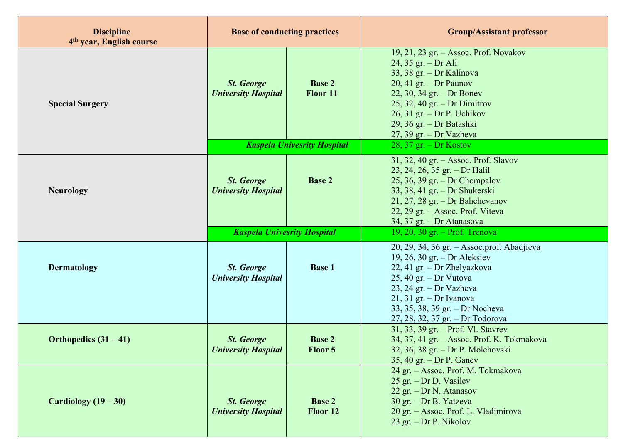| <b>Discipline</b><br>4 <sup>th</sup> year, English course | <b>Base of conducting practices</b>             |                                    | <b>Group/Assistant professor</b>                                                                                                                                                                                                                                             |  |  |
|-----------------------------------------------------------|-------------------------------------------------|------------------------------------|------------------------------------------------------------------------------------------------------------------------------------------------------------------------------------------------------------------------------------------------------------------------------|--|--|
| <b>Special Surgery</b>                                    | <b>St. George</b><br><b>University Hospital</b> | <b>Base 2</b><br>Floor 11          | 19, 21, 23 gr. – Assoc. Prof. Novakov<br>$24, 35$ gr. - Dr Ali<br>33, 38 gr. - Dr Kalinova<br>20, 41 gr. – Dr Paunov<br>22, 30, 34 gr. – Dr Bonev<br>$25, 32, 40$ gr. - Dr Dimitrov<br>$26, 31$ gr. - Dr P. Uchikov<br>29, 36 gr. – Dr Batashki<br>$27, 39$ gr. - Dr Vazheva |  |  |
|                                                           |                                                 | <b>Kaspela Univesrity Hospital</b> | 28, 37 gr. $-$ Dr Kostov                                                                                                                                                                                                                                                     |  |  |
| <b>Neurology</b>                                          | <b>St. George</b><br><b>University Hospital</b> | <b>Base 2</b>                      | 31, 32, 40 gr. - Assoc. Prof. Slavov<br>23, 24, 26, 35 gr. - Dr Halil<br>25, 36, 39 gr. – Dr Chompalov<br>33, 38, 41 gr. – Dr Shukerski<br>$21, 27, 28$ gr. - Dr Bahchevanov<br>22, 29 gr. - Assoc. Prof. Viteva<br>34, 37 gr. - Dr Atanasova                                |  |  |
|                                                           | <b>Kaspela Univesrity Hospital</b>              |                                    | 19, 20, 30 gr. - Prof. Trenova                                                                                                                                                                                                                                               |  |  |
| Dermatology                                               | <b>St.</b> George<br><b>University Hospital</b> | <b>Base 1</b>                      | 20, 29, 34, 36 gr. - Assoc.prof. Abadjieva<br>19, 26, 30 gr. – Dr Aleksiev<br>22, 41 gr. - Dr Zhelyazkova<br>$25, 40$ gr. - Dr Vutova<br>$23, 24$ gr. - Dr Vazheva<br>$21, 31$ gr. - Dr Ivanova<br>33, 35, 38, 39 gr. - Dr Nocheva<br>27, 28, 32, 37 gr. - Dr Todorova       |  |  |
| Orthopedics $(31 – 41)$                                   | <b>St.</b> George<br><b>University Hospital</b> | <b>Base 2</b><br>Floor 5           | 31, 33, 39 gr. - Prof. Vl. Stavrev<br>34, 37, 41 gr. - Assoc. Prof. K. Tokmakova<br>32, 36, 38 gr. - Dr P. Molchovski<br>$35, 40$ gr. - Dr P. Ganev                                                                                                                          |  |  |
| Cardiology $(19-30)$                                      | <b>St. George</b><br><b>University Hospital</b> | <b>Base 2</b><br>Floor 12          | 24 gr. - Assoc. Prof. M. Tokmakova<br>$25$ gr. - Dr D. Vasilev<br>22 gr. - Dr N. Atanasov<br>30 gr. - Dr B. Yatzeva<br>20 gr. - Assoc. Prof. L. Vladimirova<br>23 gr. $-$ Dr P. Nikolov                                                                                      |  |  |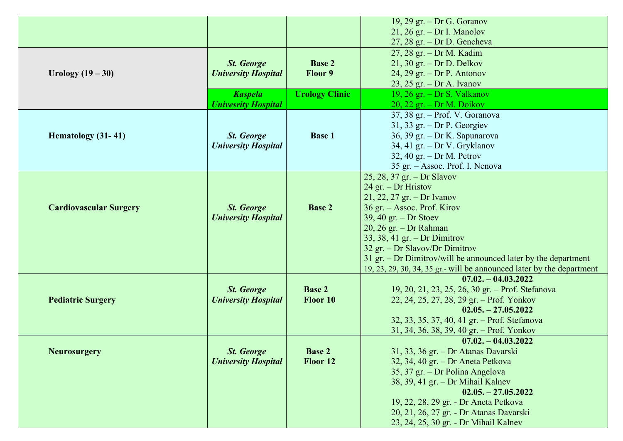|                               |                                                 |                       | 19, 29 gr. $-$ Dr G. Goranov                                          |  |
|-------------------------------|-------------------------------------------------|-----------------------|-----------------------------------------------------------------------|--|
|                               |                                                 |                       | $21, 26$ gr. – Dr I. Manolov                                          |  |
|                               |                                                 |                       | $27, 28$ gr. - Dr D. Gencheva                                         |  |
|                               |                                                 |                       | 27, 28 gr. - Dr M. Kadim                                              |  |
|                               | <b>St.</b> George                               | <b>Base 2</b>         | $21, 30$ gr. - Dr D. Delkov                                           |  |
| Urology $(19 - 30)$           | <b>University Hospital</b>                      | Floor 9               | 24, 29 gr. $-$ Dr P. Antonov                                          |  |
|                               |                                                 |                       | $23, 25$ gr. - Dr A. Ivanov                                           |  |
|                               | <b>Kaspela</b>                                  | <b>Urology Clinic</b> | 19, 26 gr. $-$ Dr S. Valkanov                                         |  |
|                               | <b>Univesrity Hospital</b>                      |                       | $20$ , $22$ gr. – Dr M. Doikov                                        |  |
|                               |                                                 |                       | 37, 38 gr. - Prof. V. Goranova                                        |  |
|                               |                                                 |                       | $31, 33$ gr. - Dr P. Georgiev                                         |  |
| Hematology (31-41)            | <b>St.</b> George                               | <b>Base 1</b>         | 36, 39 gr. - Dr K. Sapunarova                                         |  |
|                               | <b>University Hospital</b>                      |                       | 34, 41 gr. - Dr V. Gryklanov                                          |  |
|                               |                                                 |                       | 32, 40 gr. $-$ Dr M. Petrov                                           |  |
|                               |                                                 |                       | 35 gr. - Assoc. Prof. I. Nenova                                       |  |
|                               |                                                 |                       | 25, 28, 37 gr. - Dr Slavov                                            |  |
|                               |                                                 |                       | 24 gr. - Dr Hristov                                                   |  |
|                               |                                                 | <b>Base 2</b>         | $21, 22, 27$ gr. - Dr Ivanov                                          |  |
| <b>Cardiovascular Surgery</b> | <b>St.</b> George<br><b>University Hospital</b> |                       | 36 gr. – Assoc. Prof. Kirov                                           |  |
|                               |                                                 |                       | $39, 40$ gr. - Dr Stoev                                               |  |
|                               |                                                 |                       | 20, 26 gr. - Dr Rahman                                                |  |
|                               |                                                 |                       | 33, 38, 41 gr. – Dr Dimitrov                                          |  |
|                               |                                                 |                       | 32 gr. – Dr Slavov/Dr Dimitrov                                        |  |
|                               |                                                 |                       | 31 gr. $-$ Dr Dimitrov/will be announced later by the department      |  |
|                               |                                                 |                       | 19, 23, 29, 30, 34, 35 gr.- will be announced later by the department |  |
|                               |                                                 |                       | $07.02 - 04.03.2022$                                                  |  |
|                               | <b>St.</b> George                               | <b>Base 2</b>         | 19, 20, 21, 23, 25, 26, 30 gr. - Prof. Stefanova                      |  |
| <b>Pediatric Surgery</b>      | <b>University Hospital</b>                      | Floor 10              | 22, 24, 25, 27, 28, 29 gr. – Prof. Yonkov                             |  |
|                               |                                                 |                       | $02.05 - 27.05.2022$                                                  |  |
|                               |                                                 |                       | 32, 33, 35, 37, 40, 41 gr. - Prof. Stefanova                          |  |
|                               |                                                 |                       | 31, 34, 36, 38, 39, 40 gr. - Prof. Yonkov                             |  |
|                               |                                                 |                       | $07.02 - 04.03.2022$                                                  |  |
| <b>Neurosurgery</b>           | <b>St. George</b>                               | <b>Base 2</b>         | 31, 33, 36 gr. – Dr Atanas Davarski                                   |  |
|                               | <b>University Hospital</b>                      | Floor 12              | 32, 34, 40 gr. - Dr Aneta Petkova                                     |  |
|                               |                                                 |                       | 35, 37 gr. - Dr Polina Angelova                                       |  |
|                               |                                                 |                       | 38, 39, 41 gr. - Dr Mihail Kalnev                                     |  |
|                               |                                                 |                       | $02.05 - 27.05.2022$                                                  |  |
|                               |                                                 |                       | 19, 22, 28, 29 gr. - Dr Aneta Petkova                                 |  |
|                               |                                                 |                       | 20, 21, 26, 27 gr. - Dr Atanas Davarski                               |  |
|                               |                                                 |                       | 23, 24, 25, 30 gr. - Dr Mihail Kalnev                                 |  |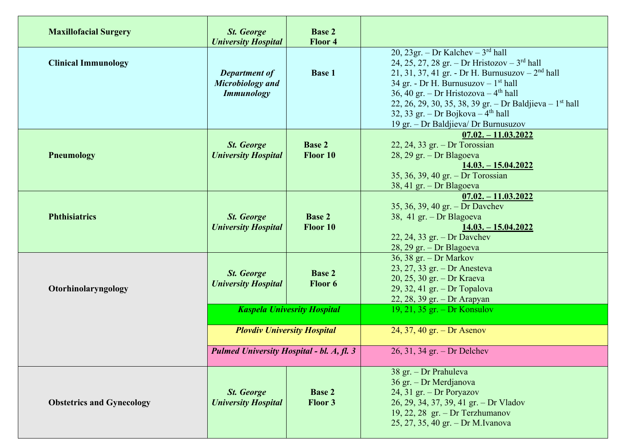| <b>Maxillofacial Surgery</b>     | <b>St. George</b><br><b>University Hospital</b>               | <b>Base 2</b><br>Floor 4                                              |                                                                                                                                                                                                                                                                                                                                                                                          |
|----------------------------------|---------------------------------------------------------------|-----------------------------------------------------------------------|------------------------------------------------------------------------------------------------------------------------------------------------------------------------------------------------------------------------------------------------------------------------------------------------------------------------------------------------------------------------------------------|
| <b>Clinical Immunology</b>       | <b>Department of</b><br>Microbiology and<br><b>Immunology</b> | <b>Base 1</b>                                                         | 20, 23gr. – Dr Kalchev – $3rd$ hall<br>24, 25, 27, 28 gr. – Dr Hristozov – $3^{\text{rd}}$ hall<br>21, 31, 37, 41 gr. - Dr H. Burnusuzov - $2nd$ hall<br>34 gr. - Dr H. Burnusuzov - $1st$ hall<br>36, 40 gr. – Dr Hristozova – $4th$ hall<br>22, 26, 29, 30, 35, 38, 39 gr. - Dr Baldjieva - $1st$ hall<br>32, 33 gr. – Dr Bojkova – $4th$ hall<br>19 gr. – Dr Baldjieva/ Dr Burnusuzov |
| <b>Pneumology</b>                | <b>St. George</b><br><b>University Hospital</b>               | <b>Base 2</b><br>Floor 10                                             | $07.02 - 11.03.2022$<br>$22, 24, 33$ gr. - Dr Torossian<br>$28, 29$ gr. - Dr Blagoeva<br>$14.03 - 15.04.2022$<br>35, 36, 39, 40 gr. - Dr Torossian<br>38, 41 gr. - Dr Blagoeva                                                                                                                                                                                                           |
| <b>Phthisiatrics</b>             | <b>St.</b> George<br><b>University Hospital</b>               | <b>Base 2</b><br>Floor 10                                             | $07.02 - 11.03.2022$<br>35, 36, 39, 40 gr. - Dr Davchev<br>38, 41 gr. – Dr Blagoeva<br>$14.03 - 15.04.2022$<br>22, 24, 33 gr. $-$ Dr Davchev<br>28, 29 gr. - Dr Blagoeva                                                                                                                                                                                                                 |
| Otorhinolaryngology              | <b>St. George</b><br><b>University Hospital</b>               | <b>Base 2</b><br><b>Floor</b> 6<br><b>Kaspela Univesrity Hospital</b> | 36, 38 gr. – Dr Markov<br>$23, 27, 33$ gr. - Dr Anesteva<br>20, 25, 30 gr. - Dr Kraeva<br>29, 32, 41 gr. - Dr Topalova<br>22, 28, 39 gr. – Dr Arapyan<br>19, 21, 35 gr. – Dr Konsulov                                                                                                                                                                                                    |
|                                  | <b>Ploydiv University Hospital</b>                            |                                                                       | 24, 37, 40 gr. – Dr Asenov                                                                                                                                                                                                                                                                                                                                                               |
|                                  | Pulmed University Hospital - bl. A, fl. 3                     |                                                                       | 26, 31, 34 gr. - Dr Delchev                                                                                                                                                                                                                                                                                                                                                              |
| <b>Obstetrics and Gynecology</b> | <b>St. George</b><br><b>University Hospital</b>               | <b>Base 2</b><br>Floor 3                                              | 38 gr. - Dr Prahuleva<br>36 gr. - Dr Merdjanova<br>24, 31 gr. - Dr Poryazov<br>26, 29, 34, 37, 39, 41 gr. - Dr Vladov<br>19, 22, 28 gr. - Dr Terzhumanov<br>25, 27, 35, 40 gr. - Dr M.Ivanova                                                                                                                                                                                            |